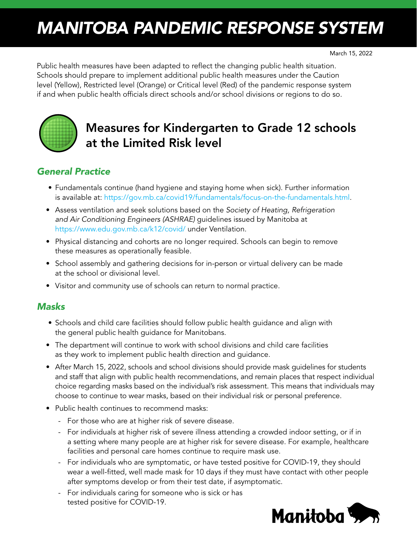# *MANITOBA PANDEMIC RESPONSE SYSTEM*

Public health measures have been adapted to reflect the changing public health situation. Schools should prepare to implement additional public health measures under the Caution level (Yellow), Restricted level (Orange) or Critical level (Red) of the pandemic response system if and when public health officials direct schools and/or school divisions or regions to do so.



# Measures for Kindergarten to Grade 12 schools at the Limited Risk level

## *General Practice*

- Fundamentals continue (hand hygiene and staying home when sick). Further information is available at: [https://gov.mb.ca/covid19/fundamentals/focus-on-the-fundamentals.html.](https://gov.mb.ca/covid19/fundamentals/focus-on-the-fundamentals.html)
- Assess ventilation and seek solutions based on the *Society of Heating, Refrigeration and Air Conditioning Engineers (ASHRAE)* guidelines issued by Manitoba at <https://www.edu.gov.mb.ca/k12/covid/> under Ventilation.
- Physical distancing and cohorts are no longer required. Schools can begin to remove these measures as operationally feasible.
- School assembly and gathering decisions for in-person or virtual delivery can be made at the school or divisional level.
- Visitor and community use of schools can return to normal practice.

### *Masks*

- Schools and child care facilities should follow public health guidance and align with the general public health guidance for Manitobans.
- The department will continue to work with school divisions and child care facilities as they work to implement public health direction and guidance.
- After March 15, 2022, schools and school divisions should provide mask guidelines for students and staff that align with public health recommendations, and remain places that respect individual choice regarding masks based on the individual's risk assessment. This means that individuals may choose to continue to wear masks, based on their individual risk or personal preference.
- Public health continues to recommend masks:
	- For those who are at higher risk of severe disease.
	- For individuals at higher risk of severe illness attending a crowded indoor setting, or if in a setting where many people are at higher risk for severe disease. For example, healthcare facilities and personal care homes continue to require mask use.
	- For individuals who are symptomatic, or have tested positive for COVID-19, they should wear a well-fitted, well made mask for 10 days if they must have contact with other people after symptoms develop or from their test date, if asymptomatic.
	- For individuals caring for someone who is sick or has tested positive for COVID-19.